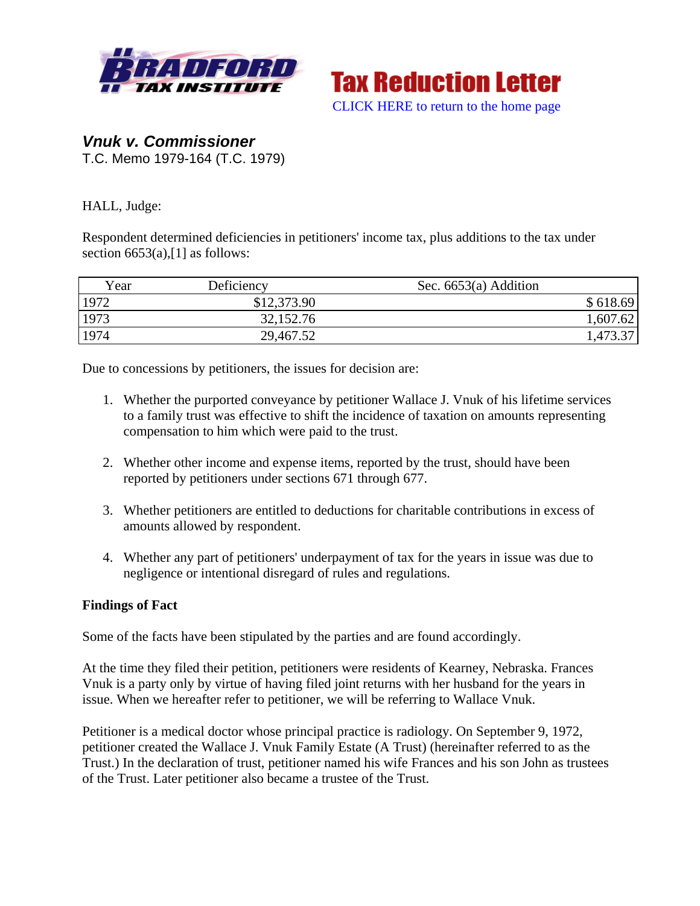



## *Vnuk v. Commissioner*  T.C. Memo 1979-164 (T.C. 1979)

HALL, Judge:

Respondent determined deficiencies in petitioners' income tax, plus additions to the tax under section  $6653(a)$ , [1] as follows:

| Year | Deficiency  | Sec. $6653(a)$ Addition |
|------|-------------|-------------------------|
| 1972 | \$12,373.90 | \$618.69                |
| 1973 | 32,152.76   | 1,607.62                |
| 1974 | 29,467.52   | 1,473.37                |

Due to concessions by petitioners, the issues for decision are:

- 1. Whether the purported conveyance by petitioner Wallace J. Vnuk of his lifetime services to a family trust was effective to shift the incidence of taxation on amounts representing compensation to him which were paid to the trust.
- 2. Whether other income and expense items, reported by the trust, should have been reported by petitioners under sections 671 through 677.
- 3. Whether petitioners are entitled to deductions for charitable contributions in excess of amounts allowed by respondent.
- 4. Whether any part of petitioners' underpayment of tax for the years in issue was due to negligence or intentional disregard of rules and regulations.

## **Findings of Fact**

Some of the facts have been stipulated by the parties and are found accordingly.

At the time they filed their petition, petitioners were residents of Kearney, Nebraska. Frances Vnuk is a party only by virtue of having filed joint returns with her husband for the years in issue. When we hereafter refer to petitioner, we will be referring to Wallace Vnuk.

Petitioner is a medical doctor whose principal practice is radiology. On September 9, 1972, petitioner created the Wallace J. Vnuk Family Estate (A Trust) (hereinafter referred to as the Trust.) In the declaration of trust, petitioner named his wife Frances and his son John as trustees of the Trust. Later petitioner also became a trustee of the Trust.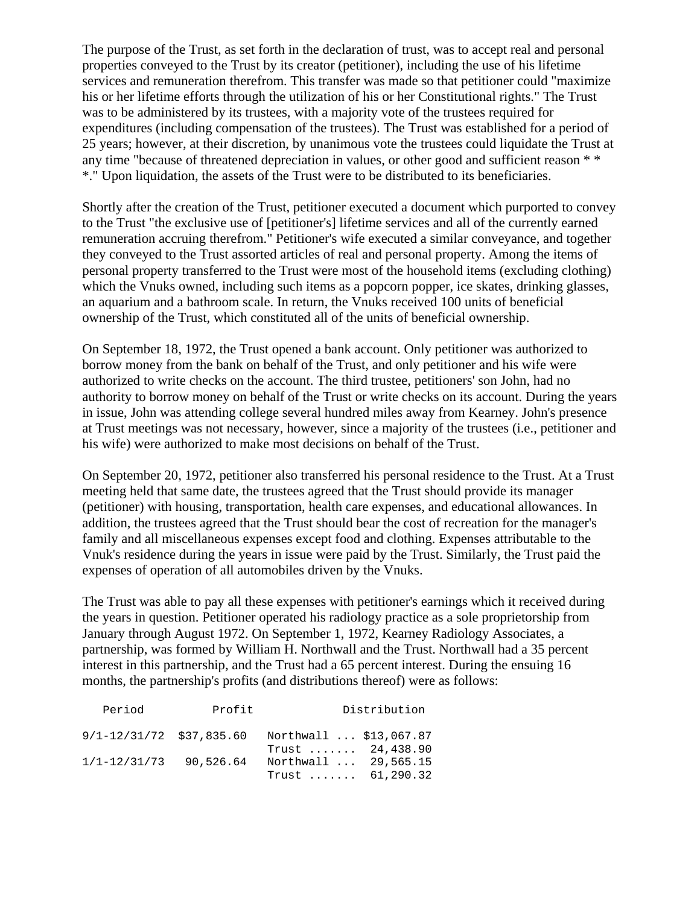The purpose of the Trust, as set forth in the declaration of trust, was to accept real and personal properties conveyed to the Trust by its creator (petitioner), including the use of his lifetime services and remuneration therefrom. This transfer was made so that petitioner could "maximize his or her lifetime efforts through the utilization of his or her Constitutional rights." The Trust was to be administered by its trustees, with a majority vote of the trustees required for expenditures (including compensation of the trustees). The Trust was established for a period of 25 years; however, at their discretion, by unanimous vote the trustees could liquidate the Trust at any time "because of threatened depreciation in values, or other good and sufficient reason \* \* \*." Upon liquidation, the assets of the Trust were to be distributed to its beneficiaries.

Shortly after the creation of the Trust, petitioner executed a document which purported to convey to the Trust "the exclusive use of [petitioner's] lifetime services and all of the currently earned remuneration accruing therefrom." Petitioner's wife executed a similar conveyance, and together they conveyed to the Trust assorted articles of real and personal property. Among the items of personal property transferred to the Trust were most of the household items (excluding clothing) which the Vnuks owned, including such items as a popcorn popper, ice skates, drinking glasses, an aquarium and a bathroom scale. In return, the Vnuks received 100 units of beneficial ownership of the Trust, which constituted all of the units of beneficial ownership.

On September 18, 1972, the Trust opened a bank account. Only petitioner was authorized to borrow money from the bank on behalf of the Trust, and only petitioner and his wife were authorized to write checks on the account. The third trustee, petitioners' son John, had no authority to borrow money on behalf of the Trust or write checks on its account. During the years in issue, John was attending college several hundred miles away from Kearney. John's presence at Trust meetings was not necessary, however, since a majority of the trustees (i.e., petitioner and his wife) were authorized to make most decisions on behalf of the Trust.

On September 20, 1972, petitioner also transferred his personal residence to the Trust. At a Trust meeting held that same date, the trustees agreed that the Trust should provide its manager (petitioner) with housing, transportation, health care expenses, and educational allowances. In addition, the trustees agreed that the Trust should bear the cost of recreation for the manager's family and all miscellaneous expenses except food and clothing. Expenses attributable to the Vnuk's residence during the years in issue were paid by the Trust. Similarly, the Trust paid the expenses of operation of all automobiles driven by the Vnuks.

The Trust was able to pay all these expenses with petitioner's earnings which it received during the years in question. Petitioner operated his radiology practice as a sole proprietorship from January through August 1972. On September 1, 1972, Kearney Radiology Associates, a partnership, was formed by William H. Northwall and the Trust. Northwall had a 35 percent interest in this partnership, and the Trust had a 65 percent interest. During the ensuing 16 months, the partnership's profits (and distributions thereof) were as follows:

| Period                       | Profit    | Distribution                               |
|------------------------------|-----------|--------------------------------------------|
| $9/1 - 12/31/72$ \$37,835.60 |           | Northwall  \$13,067.87<br>Trust  24,438.90 |
| $1/1 - 12/31/73$             | 90,526.64 | Northwall  29,565.15<br>Trust  61,290.32   |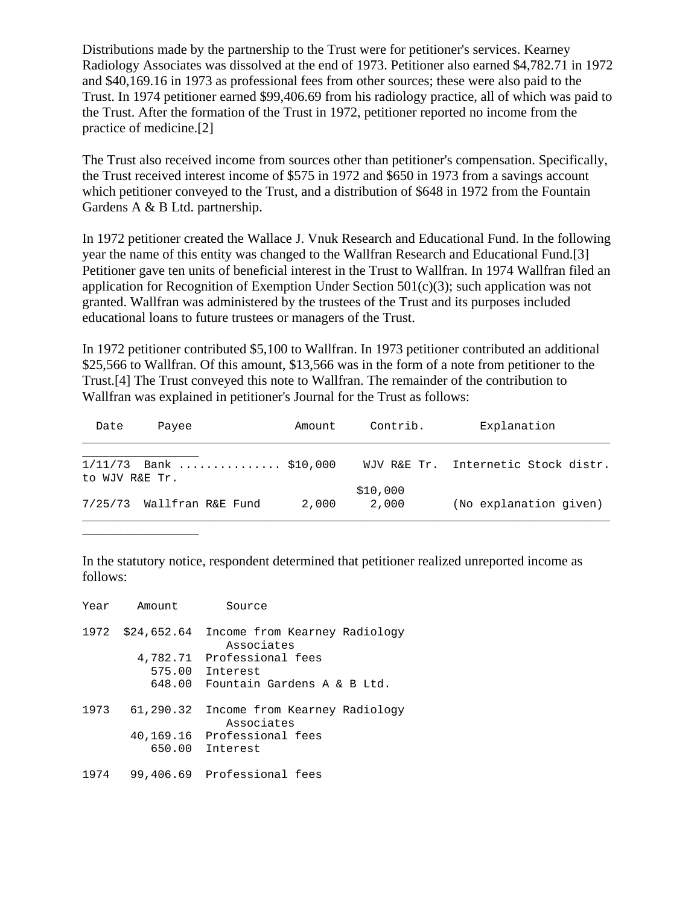Distributions made by the partnership to the Trust were for petitioner's services. Kearney Radiology Associates was dissolved at the end of 1973. Petitioner also earned \$4,782.71 in 1972 and \$40,169.16 in 1973 as professional fees from other sources; these were also paid to the Trust. In 1974 petitioner earned \$99,406.69 from his radiology practice, all of which was paid to the Trust. After the formation of the Trust in 1972, petitioner reported no income from the practice of medicine.[2]

The Trust also received income from sources other than petitioner's compensation. Specifically, the Trust received interest income of \$575 in 1972 and \$650 in 1973 from a savings account which petitioner conveyed to the Trust, and a distribution of \$648 in 1972 from the Fountain Gardens A & B Ltd. partnership.

In 1972 petitioner created the Wallace J. Vnuk Research and Educational Fund. In the following year the name of this entity was changed to the Wallfran Research and Educational Fund.[3] Petitioner gave ten units of beneficial interest in the Trust to Wallfran. In 1974 Wallfran filed an application for Recognition of Exemption Under Section 501(c)(3); such application was not granted. Wallfran was administered by the trustees of the Trust and its purposes included educational loans to future trustees or managers of the Trust.

In 1972 petitioner contributed \$5,100 to Wallfran. In 1973 petitioner contributed an additional \$25,566 to Wallfran. Of this amount, \$13,566 was in the form of a note from petitioner to the Trust.[4] The Trust conveyed this note to Wallfran. The remainder of the contribution to Wallfran was explained in petitioner's Journal for the Trust as follows:

| Date           | Payee                     | Amount | Contrib.          | Explanation                         |
|----------------|---------------------------|--------|-------------------|-------------------------------------|
| to WJV R&E Tr. | $1/11/73$ Bank  \$10,000  |        |                   | WJV R&E Tr. Internetic Stock distr. |
|                | 7/25/73 Wallfran R&E Fund | 2,000  | \$10,000<br>2,000 | (No explanation given)              |

In the statutory notice, respondent determined that petitioner realized unreported income as follows:

| Year | Amount      | Source                                      |
|------|-------------|---------------------------------------------|
| 1972 | \$24,652.64 | Income from Kearney Radiology<br>Associates |
|      | 4,782.71    | Professional fees                           |
|      | 575.00      | Interest                                    |
|      | 648.00      | Fountain Gardens A & B Ltd.                 |
| 1973 | 61,290.32   | Income from Kearney Radiology<br>Associates |
|      | 40,169.16   | Professional fees                           |
|      | 650.00      | Interest                                    |
| 1974 |             | 99,406.69 Professional fees                 |

\_\_\_\_\_\_\_\_\_\_\_\_\_\_\_\_\_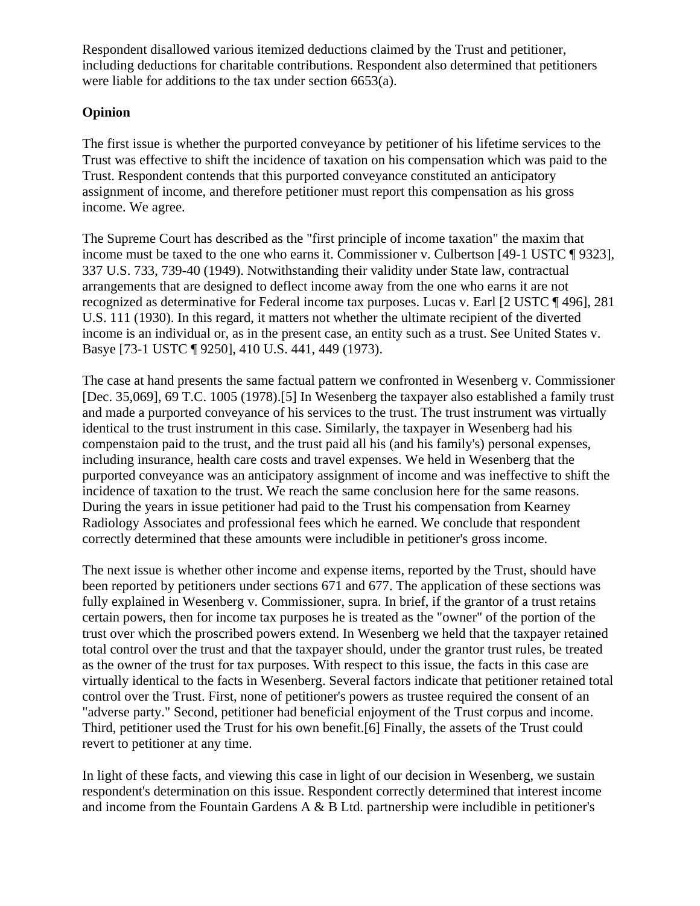Respondent disallowed various itemized deductions claimed by the Trust and petitioner, including deductions for charitable contributions. Respondent also determined that petitioners were liable for additions to the tax under section 6653(a).

## **Opinion**

The first issue is whether the purported conveyance by petitioner of his lifetime services to the Trust was effective to shift the incidence of taxation on his compensation which was paid to the Trust. Respondent contends that this purported conveyance constituted an anticipatory assignment of income, and therefore petitioner must report this compensation as his gross income. We agree.

The Supreme Court has described as the "first principle of income taxation" the maxim that income must be taxed to the one who earns it. Commissioner v. Culbertson [49-1 USTC ¶ 9323], 337 U.S. 733, 739-40 (1949). Notwithstanding their validity under State law, contractual arrangements that are designed to deflect income away from the one who earns it are not recognized as determinative for Federal income tax purposes. Lucas v. Earl [2 USTC ¶ 496], 281 U.S. 111 (1930). In this regard, it matters not whether the ultimate recipient of the diverted income is an individual or, as in the present case, an entity such as a trust. See United States v. Basye [73-1 USTC ¶ 9250], 410 U.S. 441, 449 (1973).

The case at hand presents the same factual pattern we confronted in Wesenberg v. Commissioner [Dec. 35,069], 69 T.C. 1005 (1978).[5] In Wesenberg the taxpayer also established a family trust and made a purported conveyance of his services to the trust. The trust instrument was virtually identical to the trust instrument in this case. Similarly, the taxpayer in Wesenberg had his compenstaion paid to the trust, and the trust paid all his (and his family's) personal expenses, including insurance, health care costs and travel expenses. We held in Wesenberg that the purported conveyance was an anticipatory assignment of income and was ineffective to shift the incidence of taxation to the trust. We reach the same conclusion here for the same reasons. During the years in issue petitioner had paid to the Trust his compensation from Kearney Radiology Associates and professional fees which he earned. We conclude that respondent correctly determined that these amounts were includible in petitioner's gross income.

The next issue is whether other income and expense items, reported by the Trust, should have been reported by petitioners under sections 671 and 677. The application of these sections was fully explained in Wesenberg v. Commissioner, supra. In brief, if the grantor of a trust retains certain powers, then for income tax purposes he is treated as the "owner" of the portion of the trust over which the proscribed powers extend. In Wesenberg we held that the taxpayer retained total control over the trust and that the taxpayer should, under the grantor trust rules, be treated as the owner of the trust for tax purposes. With respect to this issue, the facts in this case are virtually identical to the facts in Wesenberg. Several factors indicate that petitioner retained total control over the Trust. First, none of petitioner's powers as trustee required the consent of an "adverse party." Second, petitioner had beneficial enjoyment of the Trust corpus and income. Third, petitioner used the Trust for his own benefit.[6] Finally, the assets of the Trust could revert to petitioner at any time.

In light of these facts, and viewing this case in light of our decision in Wesenberg, we sustain respondent's determination on this issue. Respondent correctly determined that interest income and income from the Fountain Gardens A & B Ltd. partnership were includible in petitioner's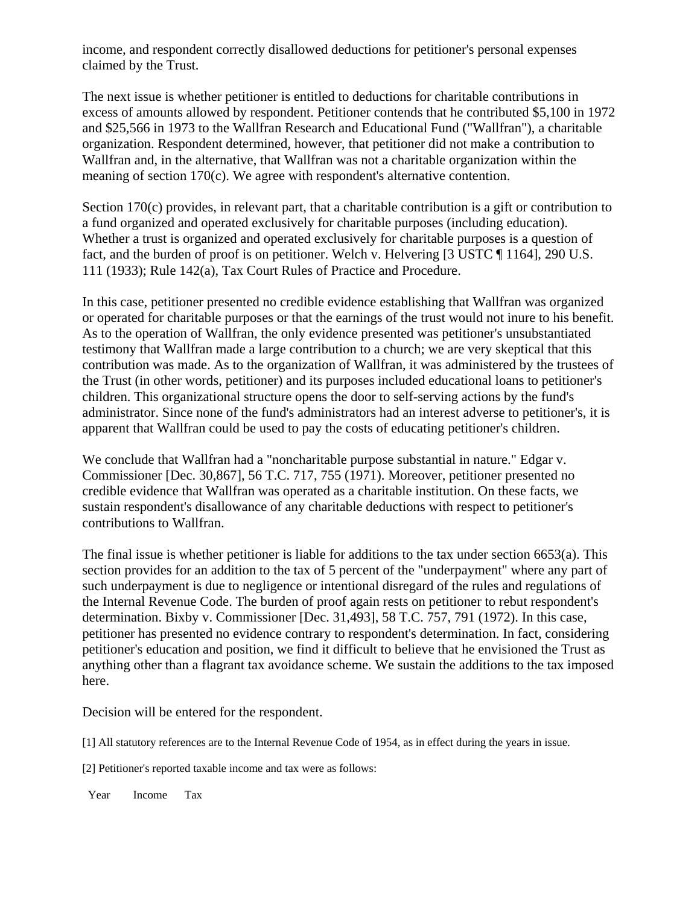income, and respondent correctly disallowed deductions for petitioner's personal expenses claimed by the Trust.

The next issue is whether petitioner is entitled to deductions for charitable contributions in excess of amounts allowed by respondent. Petitioner contends that he contributed \$5,100 in 1972 and \$25,566 in 1973 to the Wallfran Research and Educational Fund ("Wallfran"), a charitable organization. Respondent determined, however, that petitioner did not make a contribution to Wallfran and, in the alternative, that Wallfran was not a charitable organization within the meaning of section 170(c). We agree with respondent's alternative contention.

Section 170(c) provides, in relevant part, that a charitable contribution is a gift or contribution to a fund organized and operated exclusively for charitable purposes (including education). Whether a trust is organized and operated exclusively for charitable purposes is a question of fact, and the burden of proof is on petitioner. Welch v. Helvering [3 USTC ¶ 1164], 290 U.S. 111 (1933); Rule 142(a), Tax Court Rules of Practice and Procedure.

In this case, petitioner presented no credible evidence establishing that Wallfran was organized or operated for charitable purposes or that the earnings of the trust would not inure to his benefit. As to the operation of Wallfran, the only evidence presented was petitioner's unsubstantiated testimony that Wallfran made a large contribution to a church; we are very skeptical that this contribution was made. As to the organization of Wallfran, it was administered by the trustees of the Trust (in other words, petitioner) and its purposes included educational loans to petitioner's children. This organizational structure opens the door to self-serving actions by the fund's administrator. Since none of the fund's administrators had an interest adverse to petitioner's, it is apparent that Wallfran could be used to pay the costs of educating petitioner's children.

We conclude that Wallfran had a "noncharitable purpose substantial in nature." Edgar v. Commissioner [Dec. 30,867], 56 T.C. 717, 755 (1971). Moreover, petitioner presented no credible evidence that Wallfran was operated as a charitable institution. On these facts, we sustain respondent's disallowance of any charitable deductions with respect to petitioner's contributions to Wallfran.

The final issue is whether petitioner is liable for additions to the tax under section 6653(a). This section provides for an addition to the tax of 5 percent of the "underpayment" where any part of such underpayment is due to negligence or intentional disregard of the rules and regulations of the Internal Revenue Code. The burden of proof again rests on petitioner to rebut respondent's determination. Bixby v. Commissioner [Dec. 31,493], 58 T.C. 757, 791 (1972). In this case, petitioner has presented no evidence contrary to respondent's determination. In fact, considering petitioner's education and position, we find it difficult to believe that he envisioned the Trust as anything other than a flagrant tax avoidance scheme. We sustain the additions to the tax imposed here.

Decision will be entered for the respondent.

[1] All statutory references are to the Internal Revenue Code of 1954, as in effect during the years in issue.

[2] Petitioner's reported taxable income and tax were as follows:

Year Income Tax